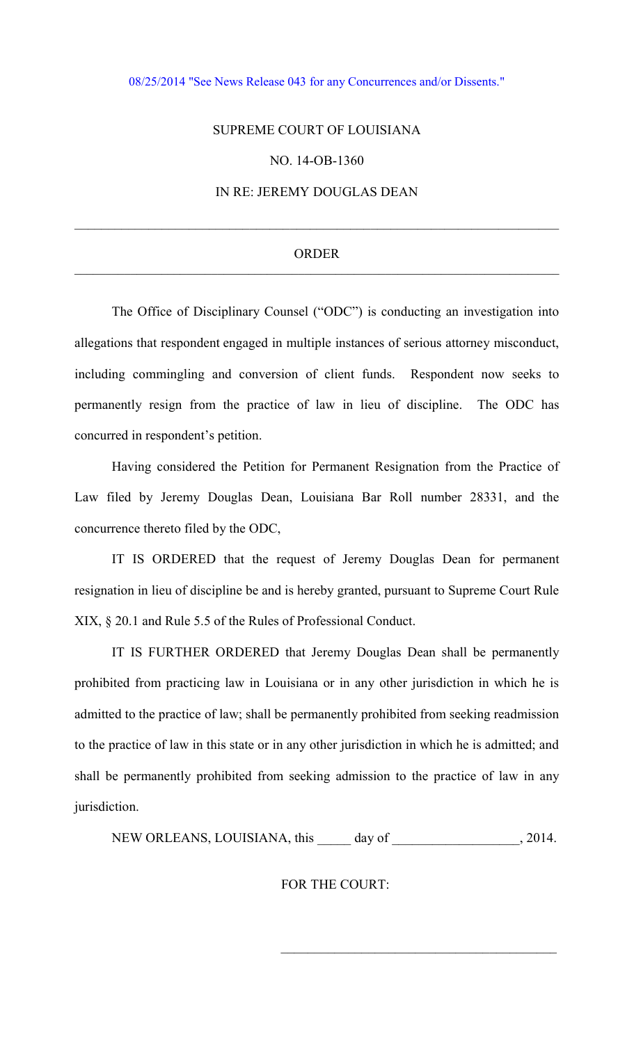#### [08/25/2014 "See News Release 043 for any Concurrences and/or Dissents."](http://www.lasc.org/Actions?p=2014-043)

### SUPREME COURT OF LOUISIANA

# NO. 14-OB-1360

# IN RE: JEREMY DOUGLAS DEAN

#### ORDER \_\_\_\_\_\_\_\_\_\_\_\_\_\_\_\_\_\_\_\_\_\_\_\_\_\_\_\_\_\_\_\_\_\_\_\_\_\_\_\_\_\_\_\_\_\_\_\_\_\_\_\_\_\_\_\_\_\_\_\_\_\_\_\_\_\_\_\_\_\_\_\_\_\_\_\_\_\_

 $\_$  , and the set of the set of the set of the set of the set of the set of the set of the set of the set of the set of the set of the set of the set of the set of the set of the set of the set of the set of the set of th

 The Office of Disciplinary Counsel ("ODC") is conducting an investigation into allegations that respondent engaged in multiple instances of serious attorney misconduct, including commingling and conversion of client funds. Respondent now seeks to permanently resign from the practice of law in lieu of discipline. The ODC has concurred in respondent's petition.

 Having considered the Petition for Permanent Resignation from the Practice of Law filed by Jeremy Douglas Dean, Louisiana Bar Roll number 28331, and the concurrence thereto filed by the ODC,

 IT IS ORDERED that the request of Jeremy Douglas Dean for permanent resignation in lieu of discipline be and is hereby granted, pursuant to Supreme Court Rule XIX, § 20.1 and Rule 5.5 of the Rules of Professional Conduct.

 IT IS FURTHER ORDERED that Jeremy Douglas Dean shall be permanently prohibited from practicing law in Louisiana or in any other jurisdiction in which he is admitted to the practice of law; shall be permanently prohibited from seeking readmission to the practice of law in this state or in any other jurisdiction in which he is admitted; and shall be permanently prohibited from seeking admission to the practice of law in any jurisdiction.

NEW ORLEANS, LOUISIANA, this \_\_\_\_\_ day of \_\_\_\_\_\_\_\_\_\_\_\_\_\_\_\_\_\_\_, 2014.

FOR THE COURT:

 $\mathcal{L}_\text{max} = \frac{1}{2} \sum_{i=1}^{n} \frac{1}{2} \sum_{i=1}^{n} \frac{1}{2} \sum_{i=1}^{n} \frac{1}{2} \sum_{i=1}^{n} \frac{1}{2} \sum_{i=1}^{n} \frac{1}{2} \sum_{i=1}^{n} \frac{1}{2} \sum_{i=1}^{n} \frac{1}{2} \sum_{i=1}^{n} \frac{1}{2} \sum_{i=1}^{n} \frac{1}{2} \sum_{i=1}^{n} \frac{1}{2} \sum_{i=1}^{n} \frac{1}{2} \sum_{i=1}^{n} \frac{1$